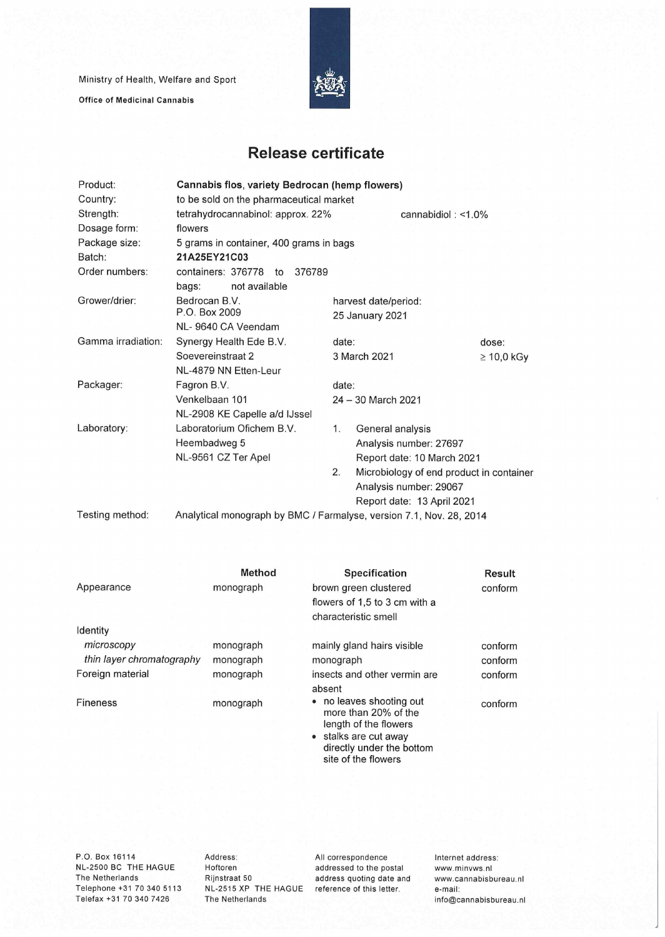Ministry of Health, Welfare and Sport

Office of Medicinal Cannabis



## **Release certificate**

| Product:           | Cannabis flos, variety Bedrocan (hemp flowers)                      |                                                |                       |  |  |  |
|--------------------|---------------------------------------------------------------------|------------------------------------------------|-----------------------|--|--|--|
| Country:           | to be sold on the pharmaceutical market                             |                                                |                       |  |  |  |
| Strength:          | tetrahydrocannabinol: approx. 22%                                   |                                                | cannabidiol: $<$ 1.0% |  |  |  |
| Dosage form:       | flowers                                                             |                                                |                       |  |  |  |
| Package size:      | 5 grams in container, 400 grams in bags                             |                                                |                       |  |  |  |
| Batch:             | 21A25EY21C03                                                        |                                                |                       |  |  |  |
| Order numbers:     | containers: 376778<br>376789<br>to                                  |                                                |                       |  |  |  |
|                    | not available<br>bags:                                              |                                                |                       |  |  |  |
| Grower/drier:      | Bedrocan B.V.                                                       | harvest date/period:                           |                       |  |  |  |
|                    | P.O. Box 2009                                                       | 25 January 2021                                |                       |  |  |  |
|                    | NL-9640 CA Veendam                                                  |                                                |                       |  |  |  |
| Gamma irradiation: | Synergy Health Ede B.V.                                             | date:                                          | dose:                 |  |  |  |
|                    | Soevereinstraat 2                                                   | 3 March 2021                                   | $\geq 10,0$ kGy       |  |  |  |
|                    | NL-4879 NN Etten-Leur                                               |                                                |                       |  |  |  |
| Packager:          | Fagron B.V.                                                         | date:                                          |                       |  |  |  |
|                    | Venkelbaan 101                                                      | 24 - 30 March 2021                             |                       |  |  |  |
|                    | NL-2908 KE Capelle a/d IJssel                                       |                                                |                       |  |  |  |
| Laboratory:        | Laboratorium Ofichem B.V.                                           | 1 <sub>1</sub><br>General analysis             |                       |  |  |  |
|                    | Heembadweg 5                                                        | Analysis number: 27697                         |                       |  |  |  |
|                    | NL-9561 CZ Ter Apel                                                 | Report date: 10 March 2021                     |                       |  |  |  |
|                    |                                                                     | 2.<br>Microbiology of end product in container |                       |  |  |  |
|                    |                                                                     | Analysis number: 29067                         |                       |  |  |  |
|                    |                                                                     | Report date: 13 April 2021                     |                       |  |  |  |
| Testing method:    | Analytical monograph by BMC / Farmalyse, version 7.1, Nov. 28, 2014 |                                                |                       |  |  |  |

|                           | <b>Method</b> | <b>Specification</b>                             | <b>Result</b> |
|---------------------------|---------------|--------------------------------------------------|---------------|
| Appearance                | monograph     | brown green clustered                            | conform       |
|                           |               | flowers of 1,5 to 3 cm with a                    |               |
|                           |               | characteristic smell                             |               |
| Identity                  |               |                                                  |               |
| microscopy                | monograph     | mainly gland hairs visible                       | conform       |
| thin layer chromatography | monograph     | monograph                                        | conform       |
| Foreign material          | monograph     | insects and other vermin are                     | conform       |
|                           |               | absent                                           |               |
| Fineness                  | monograph     | • no leaves shooting out<br>more than 20% of the | conform       |
|                           |               | length of the flowers                            |               |
|                           |               | stalks are cut away                              |               |
|                           |               | directly under the bottom<br>site of the flowers |               |

P.O. Box 16114 NL-2500 BC THE HAGUE The Netherlands Telephone +31 70 340 5113 Telefax +31 70 340 7426

Address: Hoftoren Rijnstraat 50 NL-2515 XP THE HAGUE The Netherlands

All correspondence addressed to the postai address quoting date and reference of this letter.

Internet address: www.minvws.nl www.cannabisbureau.n1 e-mail: info@cannabisbureau.nl